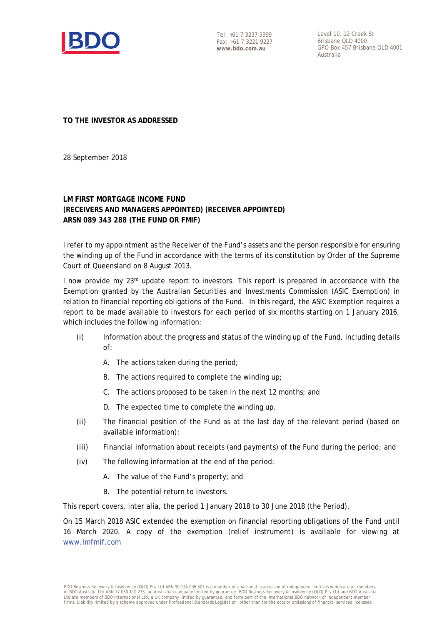

Tel: +61 7 3237 5999 Fax: +61 7 3221 9227 **www.bdo.com.au** 

Level 10, 12 Creek St Brisbane QLD 4000 GPO Box 457 Brisbane QLD 4001 Australia

**TO THE INVESTOR AS ADDRESSED** 

28 September 2018

## **LM FIRST MORTGAGE INCOME FUND (RECEIVERS AND MANAGERS APPOINTED) (RECEIVER APPOINTED) ARSN 089 343 288 (THE FUND OR FMIF)**

I refer to my appointment as the Receiver of the Fund's assets and the person responsible for ensuring the winding up of the Fund in accordance with the terms of its constitution by Order of the Supreme Court of Queensland on 8 August 2013.

I now provide my 23<sup>rd</sup> update report to investors. This report is prepared in accordance with the Exemption granted by the Australian Securities and Investments Commission (ASIC Exemption) in relation to financial reporting obligations of the Fund. In this regard, the ASIC Exemption requires a report to be made available to investors for each period of six months starting on 1 January 2016, which includes the following information:

- (i) Information about the progress and status of the winding up of the Fund, including details of:
	- A. The actions taken during the period;
	- B. The actions required to complete the winding up;
	- C. The actions proposed to be taken in the next 12 months; and
	- D. The expected time to complete the winding up.
- (ii) The financial position of the Fund as at the last day of the relevant period (based on available information);
- (iii) Financial information about receipts (and payments) of the Fund during the period; and
- (iv) The following information at the end of the period:
	- A. The value of the Fund's property; and
	- B. The potential return to investors.

This report covers, inter alia, the period 1 January 2018 to 30 June 2018 (the Period).

On 15 March 2018 ASIC extended the exemption on financial reporting obligations of the Fund until 16 March 2020. A copy of the exemption (relief instrument) is available for viewing at www.lmfmif.com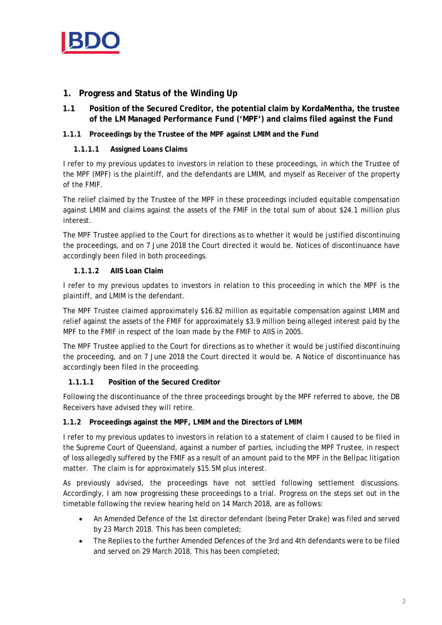

## **1. Progress and Status of the Winding Up**

**1.1 Position of the Secured Creditor, the potential claim by KordaMentha, the trustee of the LM Managed Performance Fund ('MPF') and claims filed against the Fund** 

## **1.1.1 Proceedings by the Trustee of the MPF against LMIM and the Fund**

## **1.1.1.1 Assigned Loans Claims**

I refer to my previous updates to investors in relation to these proceedings, in which the Trustee of the MPF (MPF) is the plaintiff, and the defendants are LMIM, and myself as Receiver of the property of the FMIF.

The relief claimed by the Trustee of the MPF in these proceedings included equitable compensation against LMIM and claims against the assets of the FMIF in the total sum of about \$24.1 million plus interest.

The MPF Trustee applied to the Court for directions as to whether it would be justified discontinuing the proceedings, and on 7 June 2018 the Court directed it would be. Notices of discontinuance have accordingly been filed in both proceedings.

## **1.1.1.2 AIIS Loan Claim**

I refer to my previous updates to investors in relation to this proceeding in which the MPF is the plaintiff, and LMIM is the defendant.

The MPF Trustee claimed approximately \$16.82 million as equitable compensation against LMIM and relief against the assets of the FMIF for approximately \$3.9 million being alleged interest paid by the MPF to the FMIF in respect of the loan made by the FMIF to AIIS in 2005.

The MPF Trustee applied to the Court for directions as to whether it would be justified discontinuing the proceeding, and on 7 June 2018 the Court directed it would be. A Notice of discontinuance has accordingly been filed in the proceeding.

## **1.1.1.1 Position of the Secured Creditor**

Following the discontinuance of the three proceedings brought by the MPF referred to above, the DB Receivers have advised they will retire.

## **1.1.2 Proceedings against the MPF, LMIM and the Directors of LMIM**

I refer to my previous updates to investors in relation to a statement of claim I caused to be filed in the Supreme Court of Queensland, against a number of parties, including the MPF Trustee, in respect of loss allegedly suffered by the FMIF as a result of an amount paid to the MPF in the Bellpac litigation matter. The claim is for approximately \$15.5M plus interest.

As previously advised, the proceedings have not settled following settlement discussions. Accordingly, I am now progressing these proceedings to a trial. Progress on the steps set out in the timetable following the review hearing held on 14 March 2018, are as follows:

- An Amended Defence of the 1st director defendant (being Peter Drake) was filed and served by 23 March 2018. This has been completed;
- The Replies to the further Amended Defences of the 3rd and 4th defendants were to be filed and served on 29 March 2018. This has been completed;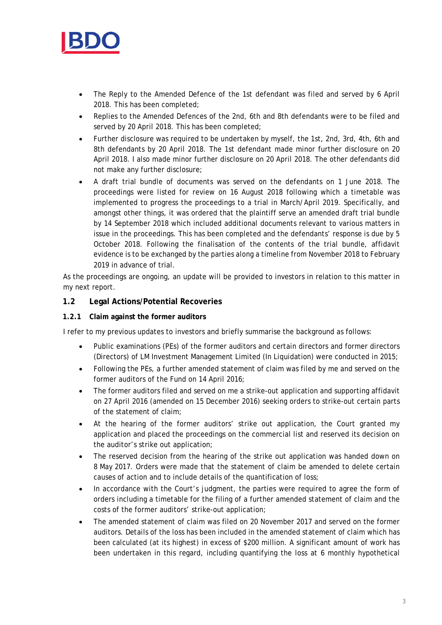

- The Reply to the Amended Defence of the 1st defendant was filed and served by 6 April 2018. This has been completed;
- Replies to the Amended Defences of the 2nd, 6th and 8th defendants were to be filed and served by 20 April 2018. This has been completed;
- Further disclosure was required to be undertaken by myself, the 1st, 2nd, 3rd, 4th, 6th and 8th defendants by 20 April 2018. The 1st defendant made minor further disclosure on 20 April 2018. I also made minor further disclosure on 20 April 2018. The other defendants did not make any further disclosure;
- A draft trial bundle of documents was served on the defendants on 1 June 2018. The proceedings were listed for review on 16 August 2018 following which a timetable was implemented to progress the proceedings to a trial in March/April 2019. Specifically, and amongst other things, it was ordered that the plaintiff serve an amended draft trial bundle by 14 September 2018 which included additional documents relevant to various matters in issue in the proceedings. This has been completed and the defendants' response is due by 5 October 2018. Following the finalisation of the contents of the trial bundle, affidavit evidence is to be exchanged by the parties along a timeline from November 2018 to February 2019 in advance of trial.

As the proceedings are ongoing, an update will be provided to investors in relation to this matter in my next report.

## **1.2 Legal Actions/Potential Recoveries**

#### **1.2.1 Claim against the former auditors**

I refer to my previous updates to investors and briefly summarise the background as follows:

- Public examinations (PEs) of the former auditors and certain directors and former directors (Directors) of LM Investment Management Limited (In Liquidation) were conducted in 2015;
- Following the PEs, a further amended statement of claim was filed by me and served on the former auditors of the Fund on 14 April 2016;
- The former auditors filed and served on me a strike-out application and supporting affidavit on 27 April 2016 (amended on 15 December 2016) seeking orders to strike-out certain parts of the statement of claim;
- At the hearing of the former auditors' strike out application, the Court granted my application and placed the proceedings on the commercial list and reserved its decision on the auditor's strike out application;
- The reserved decision from the hearing of the strike out application was handed down on 8 May 2017. Orders were made that the statement of claim be amended to delete certain causes of action and to include details of the quantification of loss;
- In accordance with the Court's judgment, the parties were required to agree the form of orders including a timetable for the filing of a further amended statement of claim and the costs of the former auditors' strike-out application;
- The amended statement of claim was filed on 20 November 2017 and served on the former auditors. Details of the loss has been included in the amended statement of claim which has been calculated (at its highest) in excess of \$200 million. A significant amount of work has been undertaken in this regard, including quantifying the loss at 6 monthly hypothetical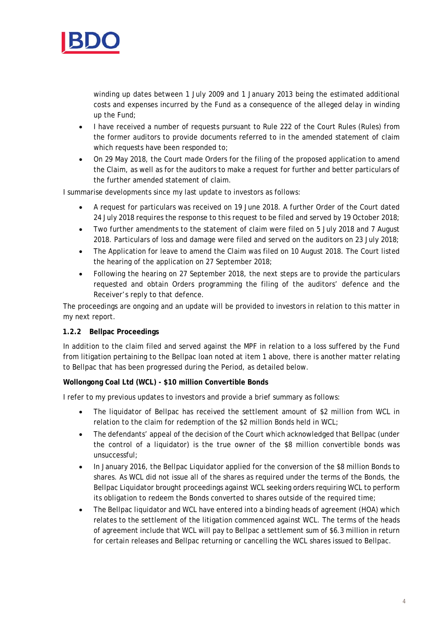

winding up dates between 1 July 2009 and 1 January 2013 being the estimated additional costs and expenses incurred by the Fund as a consequence of the alleged delay in winding up the Fund;

- I have received a number of requests pursuant to Rule 222 of the Court Rules (Rules) from the former auditors to provide documents referred to in the amended statement of claim which requests have been responded to;
- On 29 May 2018, the Court made Orders for the filing of the proposed application to amend the Claim, as well as for the auditors to make a request for further and better particulars of the further amended statement of claim.

I summarise developments since my last update to investors as follows:

- A request for particulars was received on 19 June 2018. A further Order of the Court dated 24 July 2018 requires the response to this request to be filed and served by 19 October 2018;
- Two further amendments to the statement of claim were filed on 5 July 2018 and 7 August 2018. Particulars of loss and damage were filed and served on the auditors on 23 July 2018;
- The Application for leave to amend the Claim was filed on 10 August 2018. The Court listed the hearing of the application on 27 September 2018;
- Following the hearing on 27 September 2018, the next steps are to provide the particulars requested and obtain Orders programming the filing of the auditors' defence and the Receiver's reply to that defence.

The proceedings are ongoing and an update will be provided to investors in relation to this matter in my next report.

#### **1.2.2 Bellpac Proceedings**

In addition to the claim filed and served against the MPF in relation to a loss suffered by the Fund from litigation pertaining to the Bellpac loan noted at item 1 above, there is another matter relating to Bellpac that has been progressed during the Period, as detailed below.

#### **Wollongong Coal Ltd (WCL) - \$10 million Convertible Bonds**

I refer to my previous updates to investors and provide a brief summary as follows:

- The liquidator of Bellpac has received the settlement amount of \$2 million from WCL in relation to the claim for redemption of the \$2 million Bonds held in WCL;
- The defendants' appeal of the decision of the Court which acknowledged that Bellpac (under the control of a liquidator) is the true owner of the \$8 million convertible bonds was unsuccessful;
- In January 2016, the Bellpac Liquidator applied for the conversion of the \$8 million Bonds to shares. As WCL did not issue all of the shares as required under the terms of the Bonds, the Bellpac Liquidator brought proceedings against WCL seeking orders requiring WCL to perform its obligation to redeem the Bonds converted to shares outside of the required time;
- The Bellpac liquidator and WCL have entered into a binding heads of agreement (HOA) which relates to the settlement of the litigation commenced against WCL. The terms of the heads of agreement include that WCL will pay to Bellpac a settlement sum of \$6.3 million in return for certain releases and Bellpac returning or cancelling the WCL shares issued to Bellpac.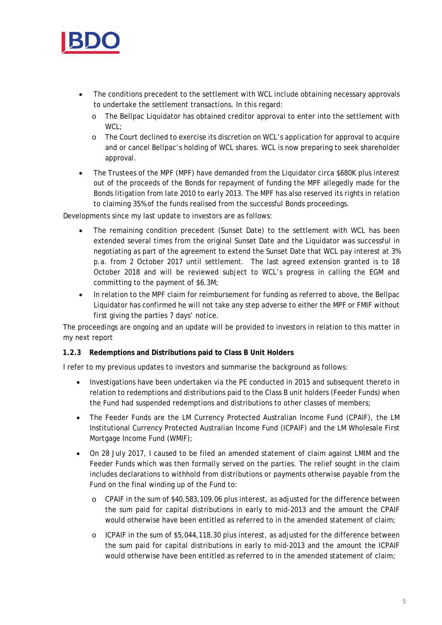

- The conditions precedent to the settlement with WCL include obtaining necessary approvals to undertake the settlement transactions. In this regard:
	- o The Bellpac Liquidator has obtained creditor approval to enter into the settlement with WCL;
	- o The Court declined to exercise its discretion on WCL's application for approval to acquire and or cancel Bellpac's holding of WCL shares. WCL is now preparing to seek shareholder approval.
- The Trustees of the MPF (MPF) have demanded from the Liquidator circa \$680K plus interest out of the proceeds of the Bonds for repayment of funding the MPF allegedly made for the Bonds litigation from late 2010 to early 2013. The MPF has also reserved its rights in relation to claiming 35% of the funds realised from the successful Bonds proceedings.

Developments since my last update to investors are as follows:

- The remaining condition precedent (Sunset Date) to the settlement with WCL has been extended several times from the original Sunset Date and the Liquidator was successful in negotiating as part of the agreement to extend the Sunset Date that WCL pay interest at 3% p.a. from 2 October 2017 until settlement. The last agreed extension granted is to 18 October 2018 and will be reviewed subject to WCL's progress in calling the EGM and committing to the payment of \$6.3M;
- In relation to the MPF claim for reimbursement for funding as referred to above, the Bellpac Liquidator has confirmed he will not take any step adverse to either the MPF or FMIF without first giving the parties 7 days' notice.

The proceedings are ongoing and an update will be provided to investors in relation to this matter in my next report

## **1.2.3 Redemptions and Distributions paid to Class B Unit Holders**

I refer to my previous updates to investors and summarise the background as follows:

- Investigations have been undertaken via the PE conducted in 2015 and subsequent thereto in relation to redemptions and distributions paid to the Class B unit holders (Feeder Funds) when the Fund had suspended redemptions and distributions to other classes of members;
- The Feeder Funds are the LM Currency Protected Australian Income Fund (CPAIF), the LM Institutional Currency Protected Australian Income Fund (ICPAIF) and the LM Wholesale First Mortgage Income Fund (WMIF);
- On 28 July 2017, I caused to be filed an amended statement of claim against LMIM and the Feeder Funds which was then formally served on the parties. The relief sought in the claim includes declarations to withhold from distributions or payments otherwise payable from the Fund on the final winding up of the Fund to:
	- o CPAIF in the sum of \$40,583,109.06 plus interest, as adjusted for the difference between the sum paid for capital distributions in early to mid-2013 and the amount the CPAIF would otherwise have been entitled as referred to in the amended statement of claim;
	- o ICPAIF in the sum of \$5,044,118.30 plus interest, as adjusted for the difference between the sum paid for capital distributions in early to mid-2013 and the amount the ICPAIF would otherwise have been entitled as referred to in the amended statement of claim;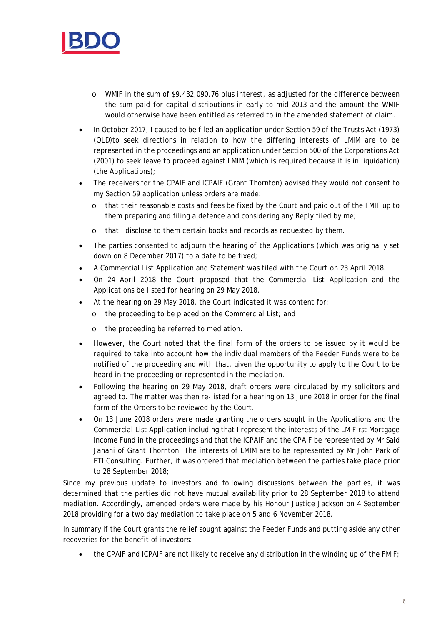

- o WMIF in the sum of \$9,432,090.76 plus interest, as adjusted for the difference between the sum paid for capital distributions in early to mid-2013 and the amount the WMIF would otherwise have been entitled as referred to in the amended statement of claim.
- In October 2017, I caused to be filed an application under Section 59 of the Trusts Act (1973) (QLD)to seek directions in relation to how the differing interests of LMIM are to be represented in the proceedings and an application under Section 500 of the Corporations Act (2001) to seek leave to proceed against LMIM (which is required because it is in liquidation) (the Applications);
- The receivers for the CPAIF and ICPAIF (Grant Thornton) advised they would not consent to my Section 59 application unless orders are made:
	- o that their reasonable costs and fees be fixed by the Court and paid out of the FMIF up to them preparing and filing a defence and considering any Reply filed by me;
	- o that I disclose to them certain books and records as requested by them.
- The parties consented to adjourn the hearing of the Applications (which was originally set down on 8 December 2017) to a date to be fixed;
- A Commercial List Application and Statement was filed with the Court on 23 April 2018.
- On 24 April 2018 the Court proposed that the Commercial List Application and the Applications be listed for hearing on 29 May 2018.
- At the hearing on 29 May 2018, the Court indicated it was content for:
	- o the proceeding to be placed on the Commercial List; and
	- o the proceeding be referred to mediation.
- However, the Court noted that the final form of the orders to be issued by it would be required to take into account how the individual members of the Feeder Funds were to be notified of the proceeding and with that, given the opportunity to apply to the Court to be heard in the proceeding or represented in the mediation.
- Following the hearing on 29 May 2018, draft orders were circulated by my solicitors and agreed to. The matter was then re-listed for a hearing on 13 June 2018 in order for the final form of the Orders to be reviewed by the Court.
- On 13 June 2018 orders were made granting the orders sought in the Applications and the Commercial List Application including that I represent the interests of the LM First Mortgage Income Fund in the proceedings and that the ICPAIF and the CPAIF be represented by Mr Said Jahani of Grant Thornton. The interests of LMIM are to be represented by Mr John Park of FTI Consulting. Further, it was ordered that mediation between the parties take place prior to 28 September 2018;

Since my previous update to investors and following discussions between the parties, it was determined that the parties did not have mutual availability prior to 28 September 2018 to attend mediation. Accordingly, amended orders were made by his Honour Justice Jackson on 4 September 2018 providing for a two day mediation to take place on 5 and 6 November 2018.

In summary if the Court grants the relief sought against the Feeder Funds and putting aside any other recoveries for the benefit of investors:

• the CPAIF and ICPAIF are not likely to receive any distribution in the winding up of the FMIF;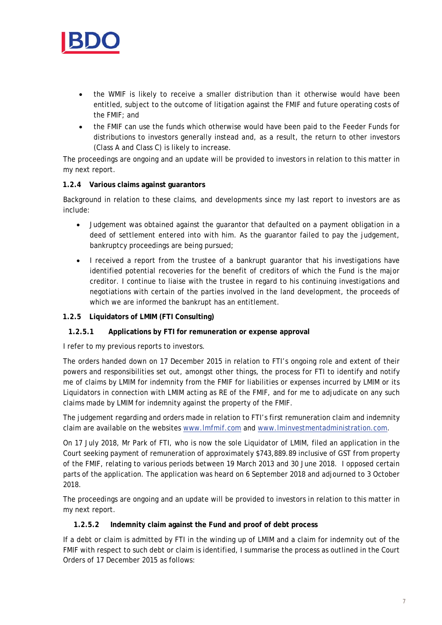

- the WMIF is likely to receive a smaller distribution than it otherwise would have been entitled, subject to the outcome of litigation against the FMIF and future operating costs of the FMIF; and
- the FMIF can use the funds which otherwise would have been paid to the Feeder Funds for distributions to investors generally instead and, as a result, the return to other investors (Class A and Class C) is likely to increase.

The proceedings are ongoing and an update will be provided to investors in relation to this matter in my next report.

## **1.2.4 Various claims against guarantors**

Background in relation to these claims, and developments since my last report to investors are as include:

- Judgement was obtained against the guarantor that defaulted on a payment obligation in a deed of settlement entered into with him. As the guarantor failed to pay the judgement, bankruptcy proceedings are being pursued;
- I received a report from the trustee of a bankrupt quarantor that his investigations have identified potential recoveries for the benefit of creditors of which the Fund is the major creditor. I continue to liaise with the trustee in regard to his continuing investigations and negotiations with certain of the parties involved in the land development, the proceeds of which we are informed the bankrupt has an entitlement.

## **1.2.5 Liquidators of LMIM (FTI Consulting)**

#### **1.2.5.1 Applications by FTI for remuneration or expense approval**

I refer to my previous reports to investors.

The orders handed down on 17 December 2015 in relation to FTI's ongoing role and extent of their powers and responsibilities set out, amongst other things, the process for FTI to identify and notify me of claims by LMIM for indemnity from the FMIF for liabilities or expenses incurred by LMIM or its Liquidators in connection with LMIM acting as RE of the FMIF, and for me to adjudicate on any such claims made by LMIM for indemnity against the property of the FMIF.

The judgement regarding and orders made in relation to FTI's first remuneration claim and indemnity claim are available on the websites www.lmfmif.com and www.lminvestmentadministration.com.

On 17 July 2018, Mr Park of FTI, who is now the sole Liquidator of LMIM, filed an application in the Court seeking payment of remuneration of approximately \$743,889.89 inclusive of GST from property of the FMIF, relating to various periods between 19 March 2013 and 30 June 2018. I opposed certain parts of the application. The application was heard on 6 September 2018 and adjourned to 3 October 2018.

The proceedings are ongoing and an update will be provided to investors in relation to this matter in my next report.

#### **1.2.5.2 Indemnity claim against the Fund and proof of debt process**

If a debt or claim is admitted by FTI in the winding up of LMIM and a claim for indemnity out of the FMIF with respect to such debt or claim is identified, I summarise the process as outlined in the Court Orders of 17 December 2015 as follows: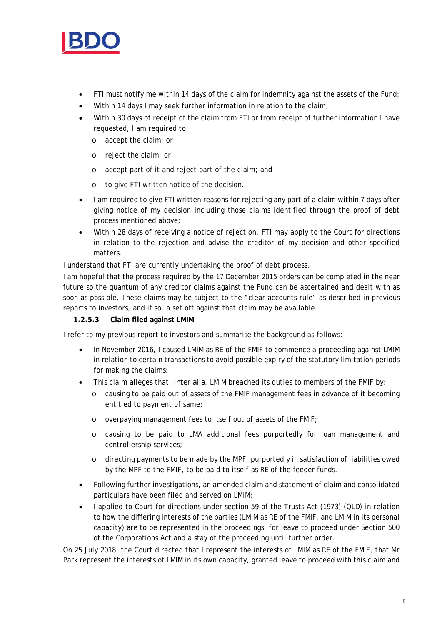

- FTI must notify me within 14 days of the claim for indemnity against the assets of the Fund;
- Within 14 days I may seek further information in relation to the claim;
- Within 30 days of receipt of the claim from FTI or from receipt of further information I have requested, I am required to:
	- o accept the claim; or
	- o reject the claim; or
	- o accept part of it and reject part of the claim; and
	- o to give FTI written notice of the decision.
- I am required to give FTI written reasons for rejecting any part of a claim within 7 days after giving notice of my decision including those claims identified through the proof of debt process mentioned above;
- Within 28 days of receiving a notice of rejection, FTI may apply to the Court for directions in relation to the rejection and advise the creditor of my decision and other specified matters.

I understand that FTI are currently undertaking the proof of debt process.

I am hopeful that the process required by the 17 December 2015 orders can be completed in the near future so the quantum of any creditor claims against the Fund can be ascertained and dealt with as soon as possible. These claims may be subject to the "clear accounts rule" as described in previous reports to investors, and if so, a set off against that claim may be available.

## **1.2.5.3 Claim filed against LMIM**

I refer to my previous report to investors and summarise the background as follows:

- In November 2016, I caused LMIM as RE of the FMIF to commence a proceeding against LMIM in relation to certain transactions to avoid possible expiry of the statutory limitation periods for making the claims;
- This claim alleges that, *inter alia*, LMIM breached its duties to members of the FMIF by:
	- o causing to be paid out of assets of the FMIF management fees in advance of it becoming entitled to payment of same;
	- o overpaying management fees to itself out of assets of the FMIF;
	- o causing to be paid to LMA additional fees purportedly for loan management and controllership services;
	- o directing payments to be made by the MPF, purportedly in satisfaction of liabilities owed by the MPF to the FMIF, to be paid to itself as RE of the feeder funds.
- Following further investigations, an amended claim and statement of claim and consolidated particulars have been filed and served on LMIM;
- I applied to Court for directions under section 59 of the Trusts Act (1973) (QLD) in relation to how the differing interests of the parties (LMIM as RE of the FMIF, and LMIM in its personal capacity) are to be represented in the proceedings, for leave to proceed under Section 500 of the Corporations Act and a stay of the proceeding until further order.

On 25 July 2018, the Court directed that I represent the interests of LMIM as RE of the FMIF, that Mr Park represent the interests of LMIM in its own capacity, granted leave to proceed with this claim and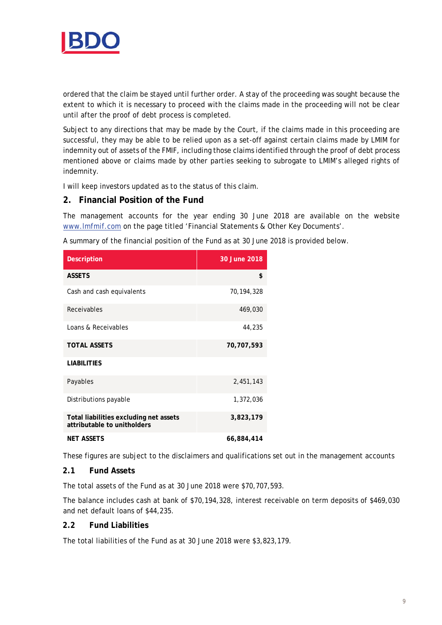

ordered that the claim be stayed until further order. A stay of the proceeding was sought because the extent to which it is necessary to proceed with the claims made in the proceeding will not be clear until after the proof of debt process is completed.

Subject to any directions that may be made by the Court, if the claims made in this proceeding are successful, they may be able to be relied upon as a set-off against certain claims made by LMIM for indemnity out of assets of the FMIF, including those claims identified through the proof of debt process mentioned above or claims made by other parties seeking to subrogate to LMIM's alleged rights of indemnity.

I will keep investors updated as to the status of this claim.

## **2. Financial Position of the Fund**

The management accounts for the year ending 30 June 2018 are available on the website www.lmfmif.com on the page titled 'Financial Statements & Other Key Documents'.

A summary of the financial position of the Fund as at 30 June 2018 is provided below.

| <b>Description</b>                                                    | 30 June 2018 |
|-----------------------------------------------------------------------|--------------|
| <b>ASSETS</b>                                                         | \$           |
| Cash and cash equivalents                                             | 70,194,328   |
| Receivables                                                           | 469,030      |
| Loans & Receivables                                                   | 44,235       |
| <b>TOTAL ASSETS</b>                                                   | 70,707,593   |
| <b>LIABILITIES</b>                                                    |              |
| Payables                                                              | 2,451,143    |
| Distributions payable                                                 | 1,372,036    |
| Total liabilities excluding net assets<br>attributable to unitholders | 3,823,179    |
| <b>NFT ASSFTS</b>                                                     | 66,884,414   |

These figures are subject to the disclaimers and qualifications set out in the management accounts

## **2.1 Fund Assets**

The total assets of the Fund as at 30 June 2018 were \$70,707,593.

The balance includes cash at bank of \$70,194,328, interest receivable on term deposits of \$469,030 and net default loans of \$44,235.

#### **2.2 Fund Liabilities**

The total liabilities of the Fund as at 30 June 2018 were \$3,823,179.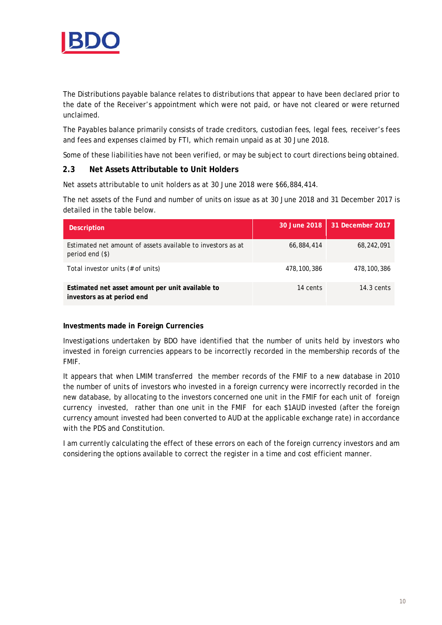

The Distributions payable balance relates to distributions that appear to have been declared prior to the date of the Receiver's appointment which were not paid, or have not cleared or were returned unclaimed.

The Payables balance primarily consists of trade creditors, custodian fees, legal fees, receiver's fees and fees and expenses claimed by FTI, which remain unpaid as at 30 June 2018.

Some of these liabilities have not been verified, or may be subject to court directions being obtained.

#### **2.3 Net Assets Attributable to Unit Holders**

Net assets attributable to unit holders as at 30 June 2018 were \$66,884,414.

The net assets of the Fund and number of units on issue as at 30 June 2018 and 31 December 2017 is detailed in the table below.

| <b>Description</b>                                                               | 30 June 2018 | 31 December 2017 |
|----------------------------------------------------------------------------------|--------------|------------------|
| Estimated net amount of assets available to investors as at<br>period end $(\$)$ | 66,884,414   | 68,242,091       |
| Total investor units (# of units)                                                | 478,100,386  | 478,100,386      |
| Estimated net asset amount per unit available to<br>investors as at period end   | 14 cents     | $14.3$ cents     |

#### **Investments made in Foreign Currencies**

Investigations undertaken by BDO have identified that the number of units held by investors who invested in foreign currencies appears to be incorrectly recorded in the membership records of the FMIF.

It appears that when LMIM transferred the member records of the FMIF to a new database in 2010 the number of units of investors who invested in a foreign currency were incorrectly recorded in the new database, by allocating to the investors concerned one unit in the FMIF for each unit of foreign currency invested, rather than one unit in the FMIF for each \$1AUD invested (after the foreign currency amount invested had been converted to AUD at the applicable exchange rate) in accordance with the PDS and Constitution.

I am currently calculating the effect of these errors on each of the foreign currency investors and am considering the options available to correct the register in a time and cost efficient manner.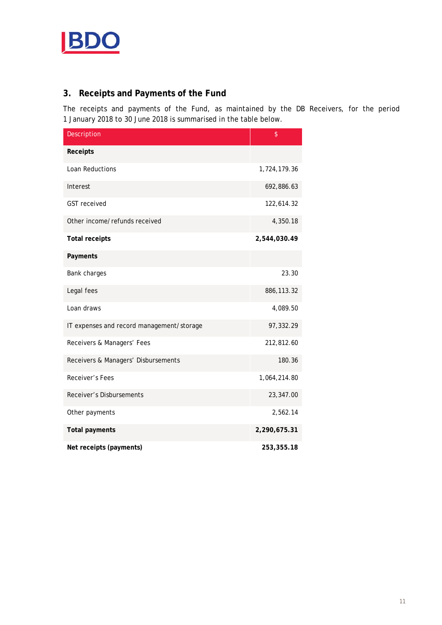

## **3. Receipts and Payments of the Fund**

The receipts and payments of the Fund, as maintained by the DB Receivers, for the period 1 January 2018 to 30 June 2018 is summarised in the table below.

| Description                               | \$           |
|-------------------------------------------|--------------|
| Receipts                                  |              |
| Loan Reductions                           | 1,724,179.36 |
| Interest                                  | 692,886.63   |
| <b>GST</b> received                       | 122,614.32   |
| Other income/refunds received             | 4,350.18     |
| <b>Total receipts</b>                     | 2,544,030.49 |
| Payments                                  |              |
| Bank charges                              | 23.30        |
| Legal fees                                | 886,113.32   |
| Loan draws                                | 4,089.50     |
| IT expenses and record management/storage | 97,332.29    |
| Receivers & Managers' Fees                | 212,812.60   |
| Receivers & Managers' Disbursements       | 180.36       |
| Receiver's Fees                           | 1,064,214.80 |
| <b>Receiver's Disbursements</b>           | 23,347.00    |
| Other payments                            | 2,562.14     |
| <b>Total payments</b>                     | 2,290,675.31 |
| Net receipts (payments)                   | 253,355.18   |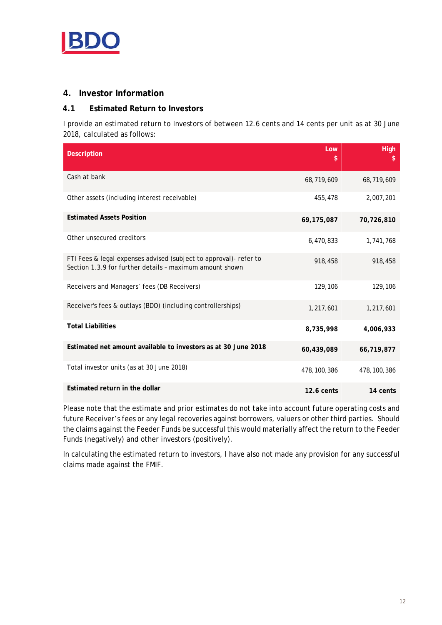

## **4. Investor Information**

## **4.1 Estimated Return to Investors**

I provide an estimated return to Investors of between 12.6 cents and 14 cents per unit as at 30 June 2018, calculated as follows:

| <b>Description</b>                                                                                                            | Low<br>\$     | High<br>\$    |
|-------------------------------------------------------------------------------------------------------------------------------|---------------|---------------|
| Cash at bank                                                                                                                  | 68,719,609    | 68,719,609    |
| Other assets (including interest receivable)                                                                                  | 455,478       | 2,007,201     |
| <b>Estimated Assets Position</b>                                                                                              | 69, 175, 087  | 70,726,810    |
| Other unsecured creditors                                                                                                     | 6,470,833     | 1,741,768     |
| FTI Fees & legal expenses advised (subject to approval)- refer to<br>Section 1.3.9 for further details - maximum amount shown | 918,458       | 918,458       |
| Receivers and Managers' fees (DB Receivers)                                                                                   | 129,106       | 129,106       |
| Receiver's fees & outlays (BDO) (including controllerships)                                                                   | 1,217,601     | 1,217,601     |
| <b>Total Liabilities</b>                                                                                                      | 8,735,998     | 4,006,933     |
| Estimated net amount available to investors as at 30 June 2018                                                                | 60,439,089    | 66,719,877    |
| Total investor units (as at 30 June 2018)                                                                                     | 478, 100, 386 | 478, 100, 386 |
| Estimated return in the dollar                                                                                                | $12.6$ cents  | 14 cents      |

Please note that the estimate and prior estimates do not take into account future operating costs and future Receiver's fees or any legal recoveries against borrowers, valuers or other third parties. Should the claims against the Feeder Funds be successful this would materially affect the return to the Feeder Funds (negatively) and other investors (positively).

In calculating the estimated return to investors, I have also not made any provision for any successful claims made against the FMIF.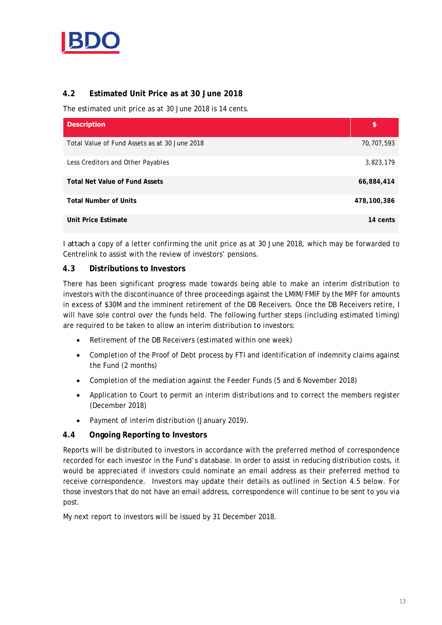

## **4.2 Estimated Unit Price as at 30 June 2018**

The estimated unit price as at 30 June 2018 is 14 cents.

| <b>Description</b>                            | \$          |
|-----------------------------------------------|-------------|
| Total Value of Fund Assets as at 30 June 2018 | 70,707,593  |
| Less Creditors and Other Payables             | 3,823,179   |
| <b>Total Net Value of Fund Assets</b>         | 66,884,414  |
| <b>Total Number of Units</b>                  | 478,100,386 |
| Unit Price Estimate                           | 14 cents    |

I *attach* a copy of a letter confirming the unit price as at 30 June 2018, which may be forwarded to Centrelink to assist with the review of investors' pensions.

## **4.3 Distributions to Investors**

There has been significant progress made towards being able to make an interim distribution to investors with the discontinuance of three proceedings against the LMIM/FMIF by the MPF for amounts in excess of \$30M and the imminent retirement of the DB Receivers. Once the DB Receivers retire, I will have sole control over the funds held. The following further steps (including estimated timing) are required to be taken to allow an interim distribution to investors:

- Retirement of the DB Receivers (estimated within one week)
- Completion of the Proof of Debt process by FTI and identification of indemnity claims against the Fund (2 months)
- Completion of the mediation against the Feeder Funds (5 and 6 November 2018)
- Application to Court to permit an interim distributions and to correct the members register (December 2018)
- Payment of interim distribution (January 2019).

## **4.4 Ongoing Reporting to Investors**

Reports will be distributed to investors in accordance with the preferred method of correspondence recorded for each investor in the Fund's database. In order to assist in reducing distribution costs, it would be appreciated if investors could nominate an email address as their preferred method to receive correspondence. Investors may update their details as outlined in Section 4.5 below. For those investors that do not have an email address, correspondence will continue to be sent to you via post.

My next report to investors will be issued by 31 December 2018.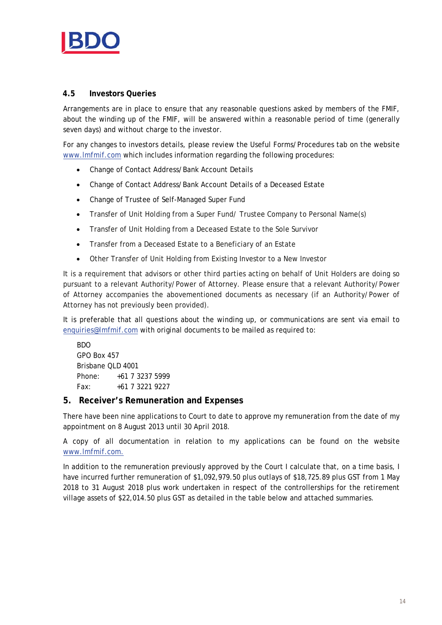

## **4.5 Investors Queries**

Arrangements are in place to ensure that any reasonable questions asked by members of the FMIF, about the winding up of the FMIF, will be answered within a reasonable period of time (generally seven days) and without charge to the investor.

For any changes to investors details, please review the Useful Forms/Procedures tab on the website www.lmfmif.com which includes information regarding the following procedures:

- Change of Contact Address/Bank Account Details
- Change of Contact Address/Bank Account Details of a Deceased Estate
- Change of Trustee of Self-Managed Super Fund
- Transfer of Unit Holding from a Super Fund/ Trustee Company to Personal Name(s)
- Transfer of Unit Holding from a Deceased Estate to the Sole Survivor
- Transfer from a Deceased Estate to a Beneficiary of an Estate
- Other Transfer of Unit Holding from Existing Investor to a New Investor

It is a requirement that advisors or other third parties acting on behalf of Unit Holders are doing so pursuant to a relevant Authority/Power of Attorney. Please ensure that a relevant Authority/Power of Attorney accompanies the abovementioned documents as necessary (if an Authority/Power of Attorney has not previously been provided).

It is preferable that all questions about the winding up, or communications are sent via email to enquiries@lmfmif.com with original documents to be mailed as required to:

BDO GPO Box 457 Brisbane QLD 4001 Phone: +61 7 3237 5999 Fax: +61 7 3221 9227

## **5. Receiver's Remuneration and Expenses**

There have been nine applications to Court to date to approve my remuneration from the date of my appointment on 8 August 2013 until 30 April 2018.

A copy of all documentation in relation to my applications can be found on the website www.lmfmif.com.

In addition to the remuneration previously approved by the Court I calculate that, on a time basis, I have incurred further remuneration of \$1,092,979.50 plus outlays of \$18,725.89 plus GST from 1 May 2018 to 31 August 2018 plus work undertaken in respect of the controllerships for the retirement village assets of \$22,014.50 plus GST as detailed in the table below and attached summaries.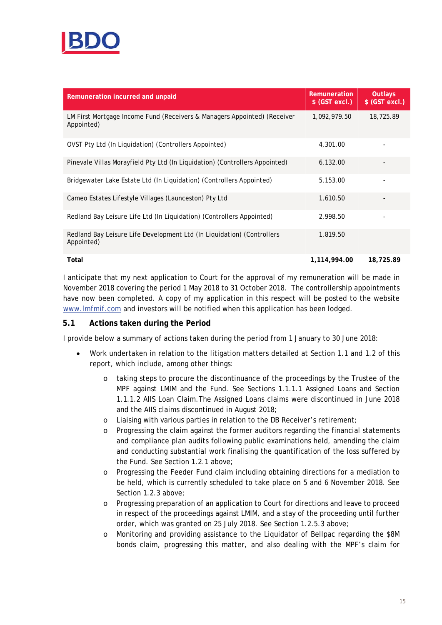

| Remuneration incurred and unpaid                                                       | Remuneration<br>$$$ (GST excl.) | Outlays<br>$$$ (GST excl.) |
|----------------------------------------------------------------------------------------|---------------------------------|----------------------------|
| LM First Mortgage Income Fund (Receivers & Managers Appointed) (Receiver<br>Appointed) | 1,092,979.50                    | 18,725.89                  |
| OVST Pty Ltd (In Liquidation) (Controllers Appointed)                                  | 4,301.00                        |                            |
| Pinevale Villas Morayfield Pty Ltd (In Liquidation) (Controllers Appointed)            | 6,132.00                        |                            |
| Bridgewater Lake Estate Ltd (In Liquidation) (Controllers Appointed)                   | 5,153.00                        |                            |
| Cameo Estates Lifestyle Villages (Launceston) Pty Ltd                                  | 1,610.50                        |                            |
| Redland Bay Leisure Life Ltd (In Liquidation) (Controllers Appointed)                  | 2,998.50                        |                            |
| Redland Bay Leisure Life Development Ltd (In Liquidation) (Controllers<br>Appointed)   | 1,819.50                        |                            |
| Total                                                                                  | 1,114,994.00                    | 18.725.89                  |

I anticipate that my next application to Court for the approval of my remuneration will be made in November 2018 covering the period 1 May 2018 to 31 October 2018. The controllership appointments have now been completed. A copy of my application in this respect will be posted to the website www.lmfmif.com and investors will be notified when this application has been lodged.

## **5.1 Actions taken during the Period**

I provide below a summary of actions taken during the period from 1 January to 30 June 2018:

- Work undertaken in relation to the litigation matters detailed at Section 1.1 and 1.2 of this report, which include, among other things:
	- o taking steps to procure the discontinuance of the proceedings by the Trustee of the MPF against LMIM and the Fund. See Sections 1.1.1.1 Assigned Loans and Section 1.1.1.2 AIIS Loan Claim.The Assigned Loans claims were discontinued in June 2018 and the AIIS claims discontinued in August 2018;
	- o Liaising with various parties in relation to the DB Receiver's retirement;
	- o Progressing the claim against the former auditors regarding the financial statements and compliance plan audits following public examinations held, amending the claim and conducting substantial work finalising the quantification of the loss suffered by the Fund. See Section 1.2.1 above;
	- o Progressing the Feeder Fund claim including obtaining directions for a mediation to be held, which is currently scheduled to take place on 5 and 6 November 2018. See Section 1.2.3 above;
	- o Progressing preparation of an application to Court for directions and leave to proceed in respect of the proceedings against LMIM, and a stay of the proceeding until further order, which was granted on 25 July 2018. See Section 1.2.5.3 above;
	- o Monitoring and providing assistance to the Liquidator of Bellpac regarding the \$8M bonds claim, progressing this matter, and also dealing with the MPF's claim for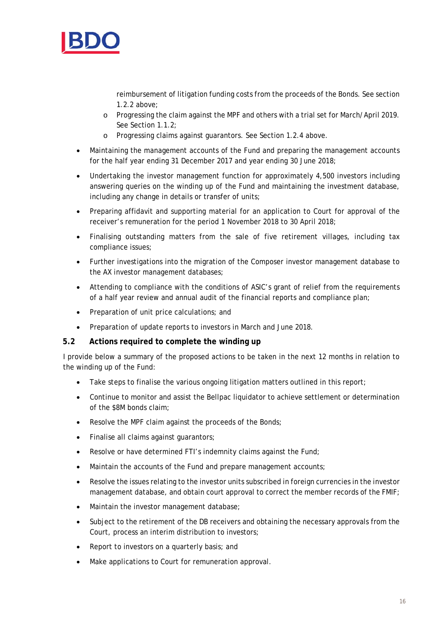

reimbursement of litigation funding costs from the proceeds of the Bonds. See section 1.2.2 above;

- o Progressing the claim against the MPF and others with a trial set for March/April 2019. See Section 1.1.2;
- o Progressing claims against guarantors. See Section 1.2.4 above.
- Maintaining the management accounts of the Fund and preparing the management accounts for the half year ending 31 December 2017 and year ending 30 June 2018;
- Undertaking the investor management function for approximately 4,500 investors including answering queries on the winding up of the Fund and maintaining the investment database, including any change in details or transfer of units;
- Preparing affidavit and supporting material for an application to Court for approval of the receiver's remuneration for the period 1 November 2018 to 30 April 2018;
- Finalising outstanding matters from the sale of five retirement villages, including tax compliance issues;
- Further investigations into the migration of the Composer investor management database to the AX investor management databases;
- Attending to compliance with the conditions of ASIC's grant of relief from the requirements of a half year review and annual audit of the financial reports and compliance plan;
- Preparation of unit price calculations; and
- Preparation of update reports to investors in March and June 2018.

#### **5.2 Actions required to complete the winding up**

I provide below a summary of the proposed actions to be taken in the next 12 months in relation to the winding up of the Fund:

- Take steps to finalise the various ongoing litigation matters outlined in this report;
- Continue to monitor and assist the Bellpac liquidator to achieve settlement or determination of the \$8M bonds claim;
- Resolve the MPF claim against the proceeds of the Bonds;
- Finalise all claims against quarantors;
- Resolve or have determined FTI's indemnity claims against the Fund;
- Maintain the accounts of the Fund and prepare management accounts;
- Resolve the issues relating to the investor units subscribed in foreign currencies in the investor management database, and obtain court approval to correct the member records of the FMIF;
- Maintain the investor management database;
- Subject to the retirement of the DB receivers and obtaining the necessary approvals from the Court, process an interim distribution to investors;
- Report to investors on a quarterly basis; and
- Make applications to Court for remuneration approval.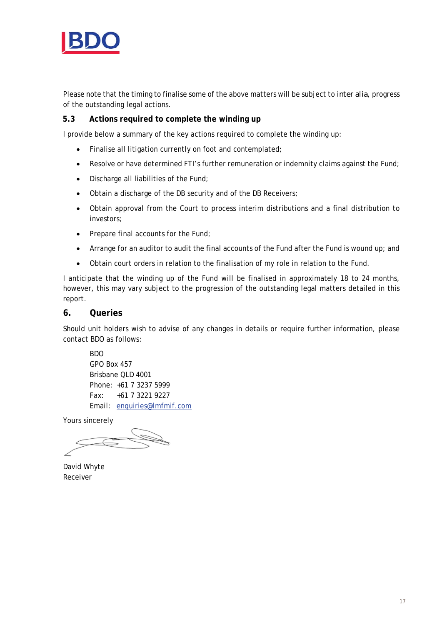

Please note that the timing to finalise some of the above matters will be subject to *inter alia*, progress of the outstanding legal actions.

## **5.3 Actions required to complete the winding up**

I provide below a summary of the key actions required to complete the winding up:

- Finalise all litigation currently on foot and contemplated;
- Resolve or have determined FTI's further remuneration or indemnity claims against the Fund;
- Discharge all liabilities of the Fund;
- Obtain a discharge of the DB security and of the DB Receivers;
- Obtain approval from the Court to process interim distributions and a final distribution to investors;
- $\bullet$  Prepare final accounts for the Fund;
- Arrange for an auditor to audit the final accounts of the Fund after the Fund is wound up; and
- Obtain court orders in relation to the finalisation of my role in relation to the Fund.

I anticipate that the winding up of the Fund will be finalised in approximately 18 to 24 months, however, this may vary subject to the progression of the outstanding legal matters detailed in this report.

#### **6. Queries**

Should unit holders wish to advise of any changes in details or require further information, please contact BDO as follows:

BDO GPO Box 457 Brisbane QLD 4001 Phone: +61 7 3237 5999 Fax: +61 7 3221 9227 Email: enquiries@lmfmif.com

Yours sincerely

David Whyte Receiver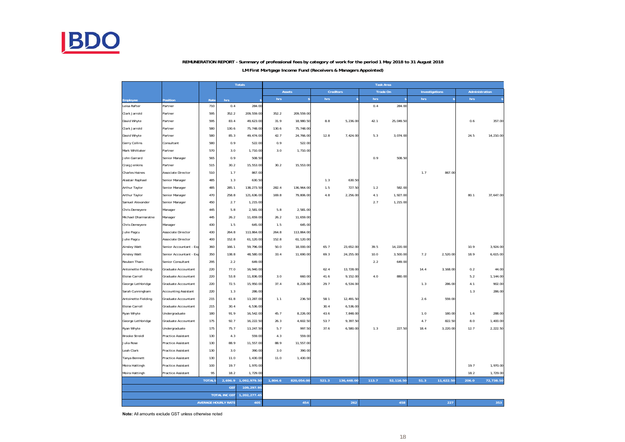

#### **LM First Mortgage Income Fund (Receivers & Managers Appointed) REMUNERATION REPORT - Summary of professional fees by category of work for the period 1 May 2018 to 31 August 2018**

|                       |                             |               |                            | <b>Totals</b> |         | <b>Task Area</b> |         |              |          |           |      |                |       |                |
|-----------------------|-----------------------------|---------------|----------------------------|---------------|---------|------------------|---------|--------------|----------|-----------|------|----------------|-------|----------------|
|                       |                             |               |                            |               |         | <b>Assets</b>    |         | Creditors    | Trade On |           |      | Investigations |       | Administration |
| Employee              | Position                    | Rate          | hrs                        |               | hrs     | s                | hrs     | $\mathsf{s}$ | hrs      |           | hrs  |                | hrs   |                |
| Leisa Rafter          | Partner                     | 710           | 0.4                        | 284.00        |         |                  |         |              | 0.4      | 284.00    |      |                |       |                |
| Clark Jarrold         | Partner                     | 595           | 352.2                      | 209,559.00    | 352.2   | 209,559.00       |         |              |          |           |      |                |       |                |
| David Whyte           | Partner                     | 595           | 83.4                       | 49,623.00     | 31.9    | 18,980.50        | $8.8\,$ | 5,236.00     | 42.1     | 25,049.50 |      |                | 0.6   | 357.00         |
| Clark Jarrold         | Partner                     | 580           | 130.6                      | 75,748.00     | 130.6   | 75,748.00        |         |              |          |           |      |                |       |                |
| David Whyte           | Partner                     | 580           | 85.3                       | 49,474.00     | 42.7    | 24,766.00        | 12.8    | 7,424.00     | 5.3      | 3,074.00  |      |                | 24.5  | 14,210.00      |
| Gerry Collins         | Consultant                  | 580           | 0.9                        | 522.00        | 0.9     | 522.00           |         |              |          |           |      |                |       |                |
| Mark Whittaker        | Partner                     | 570           | 3.0                        | 1,710.00      | 3.0     | 1,710.00         |         |              |          |           |      |                |       |                |
| John Garrard          | Senior Manager              | 565           | 0.9                        | 508.50        |         |                  |         |              | 0.9      | 508.50    |      |                |       |                |
| Craig Jenkins         | Partner                     | 515           | 30.2                       | 15,553.00     | 30.2    | 15,553.00        |         |              |          |           |      |                |       |                |
| Charles Haines        | <b>Associate Director</b>   | 510           | 1.7                        | 867.00        |         |                  |         |              |          |           | 1.7  | 867.00         |       |                |
| Alastair Raphael      | Senior Manager              | 485           | 1.3                        | 630.50        |         |                  | 1.3     | 630.50       |          |           |      |                |       |                |
| Arthur Taylor         | Senior Manager              | 485           | 285.1                      | 138,273.50    | 282.4   | 136, 964.00      | 1.5     | 727.50       | 1.2      | 582.00    |      |                |       |                |
| Arthur Taylor         | Senior Manager              | 470           | 258.8                      | 121,636.00    | 169.8   | 79,806.00        | 4.8     | 2,256.00     | 4.1      | 1,927.00  |      |                | 80.1  | 37,647.00      |
| Samuel Alexander      | Senior Manager              | 450           | 2.7                        | 1,215.00      |         |                  |         |              | 2.7      | 1,215.00  |      |                |       |                |
| Chris Demeyere        | Manager                     | 445           | 5.8                        | 2,581.00      | 5.8     | 2,581.00         |         |              |          |           |      |                |       |                |
| Michael Dharmaratne   | Manager                     | 445           | 26.2                       | 11,659.00     | 26.2    | 11,659.00        |         |              |          |           |      |                |       |                |
| Chris Demeyere        | Manager                     | 430           | 1.5                        | 645.00        | 1.5     | 645.00           |         |              |          |           |      |                |       |                |
| Julie Pagcu           | <b>Associate Director</b>   | 430           | 264.8                      | 113,864.00    | 264.8   | 113,864.00       |         |              |          |           |      |                |       |                |
| Julie Pagcu           | Associate Director          | 400           | 152.8                      | 61,120.00     | 152.8   | 61,120.00        |         |              |          |           |      |                |       |                |
| Ainsley Watt          | Senior Accountant - Exp     | 360           | 166.1                      | 59,796.00     | 50.0    | 18,000.00        | 65.7    | 23,652.00    | 39.5     | 14,220.00 |      |                | 10.9  | 3,924.00       |
| Ainsley Watt          | Senior Accountant - Exp     | 350           | 138.8                      | 48,580.00     | 33.4    | 11,690.00        | 69.3    | 24,255.00    | 10.0     | 3,500.00  | 7.2  | 2,520.00       | 18.9  | 6,615.00       |
| Reuben Tham           | Senior Consultant           | 295           | 2.2                        | 649.00        |         |                  |         |              | 2.2      | 649.00    |      |                |       |                |
| Antoinette Fielding   | Graduate Accountant         | 220           | 77.0                       | 16,940.00     |         |                  | 62.4    | 13,728.00    |          |           | 14.4 | 3,168.00       | 0.2   | 44.00          |
| Eloise Carroll        | Graduate Accountant         | 220           | 53.8                       | 11,836.00     | 3.0     | 660.00           | 41.6    | 9,152.00     | 4.0      | 880.00    |      |                | 5.2   | 1,144.00       |
| George Lethbridge     | Graduate Accountant         | 220           | 72.5                       | 15,950.00     | 37.4    | 8,228.00         | 29.7    | 6,534.00     |          |           | 1.3  | 286.00         | 4.1   | 902.00         |
| Sarah Cunningham      | <b>Accounting Assistant</b> | 220           | 1.3                        | 286.00        |         |                  |         |              |          |           |      |                | 1.3   | 286.00         |
| Antoinette Fielding   | Graduate Accountant         | 215           | 61.8                       | 13,287.00     | 1.1     | 236.50           | 58.1    | 12,491.50    |          |           | 2.6  | 559.00         |       |                |
| Eloise Carroll        | Graduate Accountant         | 215           | 30.4                       | 6,536.00      |         |                  | 30.4    | 6,536.00     |          |           |      |                |       |                |
| Ryan Whyte            | Undergraduate               | 180           | 91.9                       | 16,542.00     | 45.7    | 8,226.00         | 43.6    | 7,848.00     |          |           | 1.0  | 180.00         | 1.6   | 288.00         |
| George Lethbridge     | Graduate Accountant         | 175           | 92.7                       | 16,222.50     | 26.3    | 4,602.50         | 53.7    | 9,397.50     |          |           | 4.7  | 822.50         | 8.0   | 1,400.00       |
| Ryan Whyte            | Undergraduate               | 175           | 75.7                       | 13,247.50     | 5.7     | 997.50           | 37.6    | 6,580.00     | 1.3      | 227.50    | 18.4 | 3,220.00       | 12.7  | 2,222.50       |
| <b>Brooke Streidl</b> | Practice Assistant          | 130           | 4.3                        | 559.00        | 4.3     | 559.00           |         |              |          |           |      |                |       |                |
| Julia Rose            | Practice Assistant          | 130           | 88.9                       | 11,557.00     | 88.9    | 11,557.00        |         |              |          |           |      |                |       |                |
| Leah Clark            | Practice Assistant          | 130           | 3.0                        | 390.00        | 3.0     | 390.00           |         |              |          |           |      |                |       |                |
| Tanya Bennett         | Practice Assistant          | 130           | 11.0                       | 1,430.00      | 11.0    | 1,430.00         |         |              |          |           |      |                |       |                |
| Moira Hattingh        | Practice Assistant          | 100           | 19.7                       | 1,970.00      |         |                  |         |              |          |           |      |                | 19.7  | 1,970.00       |
| Moira Hattingh        | Practice Assistant          | 95            | 18.2                       | 1,729.00      |         |                  |         |              |          |           |      |                | 18.2  | 1,729.00       |
|                       |                             | <b>TOTALS</b> | 2,696.9                    | 1,092,979.50  | 1,804.6 | 820,054.00       | 521.3   | 136,448.00   | 113.7    | 52,116.50 | 51.3 | 11,622.50      | 206.0 | 72,738.50      |
|                       |                             |               | <b>GST</b>                 | 109,297.95    |         |                  |         |              |          |           |      |                |       |                |
|                       |                             |               | <b>TOTAL INC GST</b>       | 1,202,277.45  |         |                  |         |              |          |           |      |                |       |                |
|                       |                             |               | <b>AVERAGE HOURLY RATE</b> | 405           |         | 454              |         | 262          |          | 458       |      | 227            |       | 353            |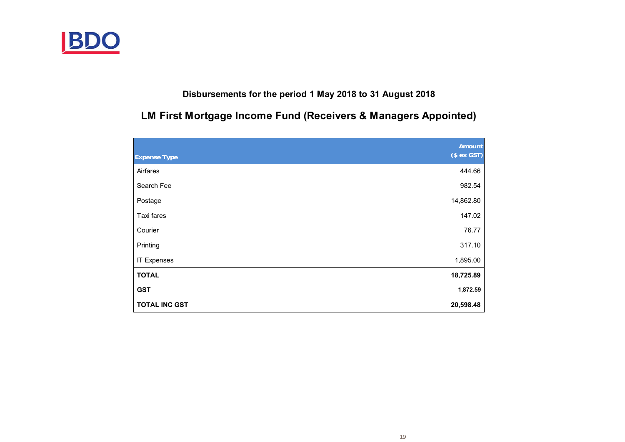

## **Disbursements for the period 1 May 2018 to 31 August 2018**

# **LM First Mortgage Income Fund (Receivers & Managers Appointed)**

|                      | Amount      |
|----------------------|-------------|
| <b>Expense Type</b>  | $($ex$ GST) |
| Airfares             | 444.66      |
| Search Fee           | 982.54      |
| Postage              | 14,862.80   |
| Taxi fares           | 147.02      |
| Courier              | 76.77       |
| Printing             | 317.10      |
| <b>IT Expenses</b>   | 1,895.00    |
| <b>TOTAL</b>         | 18,725.89   |
| <b>GST</b>           | 1,872.59    |
| <b>TOTAL INC GST</b> | 20,598.48   |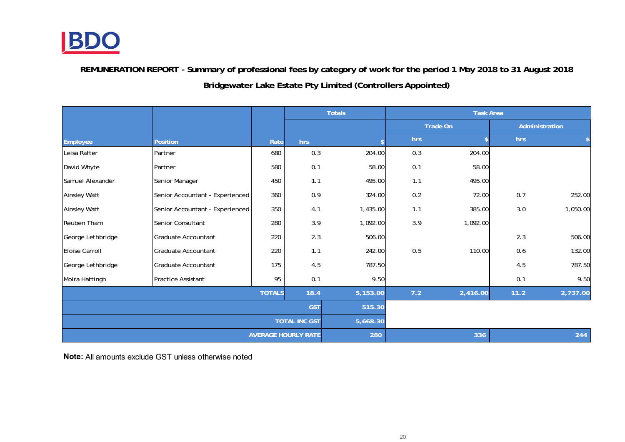

**REMUNERATION REPORT - Summary of professional fees by category of work for the period 1 May 2018 to 31 August 2018 Bridgewater Lake Estate Pty Limited (Controllers Appointed)**

|                      |                                 |               |                            | <b>Totals</b> |     | <b>Task Area</b> |      |                |
|----------------------|---------------------------------|---------------|----------------------------|---------------|-----|------------------|------|----------------|
|                      |                                 |               |                            |               |     | Trade On         |      | Administration |
| Employee             | Position                        | Rate          | hrs                        |               | hrs | \$               | hrs  |                |
| Leisa Rafter         | Partner                         | 680           | 0.3                        | 204.00        | 0.3 | 204.00           |      |                |
| David Whyte          | Partner                         | 580           | 0.1                        | 58.00         | 0.1 | 58.00            |      |                |
| Samuel Alexander     | Senior Manager                  | 450           | 1.1                        | 495.00        | 1.1 | 495.00           |      |                |
| Ainsley Watt         | Senior Accountant - Experienced | 360           | 0.9                        | 324.00        | 0.2 | 72.00            | 0.7  | 252.00         |
| Ainsley Watt         | Senior Accountant - Experienced | 350           | 4.1                        | 1,435.00      | 1.1 | 385.00           | 3.0  | 1,050.00       |
| Reuben Tham          | Senior Consultant               | 280           | 3.9                        | 1,092.00      | 3.9 | 1,092.00         |      |                |
| George Lethbridge    | Graduate Accountant             | 220           | 2.3                        | 506.00        |     |                  | 2.3  | 506.00         |
| Eloise Carroll       | <b>Graduate Accountant</b>      | 220           | 1.1                        | 242.00        | 0.5 | 110.00           | 0.6  | 132.00         |
| George Lethbridge    | Graduate Accountant             | 175           | 4.5                        | 787.50        |     |                  | 4.5  | 787.50         |
| Moira Hattingh       | Practice Assistant              | 95            | 0.1                        | 9.50          |     |                  | 0.1  | 9.50           |
|                      |                                 | <b>TOTALS</b> | 18.4                       | 5,153.00      | 7.2 | 2,416.00         | 11.2 | 2,737.00       |
|                      |                                 |               | <b>GST</b>                 | 515.30        |     |                  |      |                |
| <b>TOTAL INC GST</b> |                                 |               |                            | 5,668.30      |     |                  |      |                |
|                      |                                 |               | <b>AVERAGE HOURLY RATE</b> | 280           |     | 336              |      | 244            |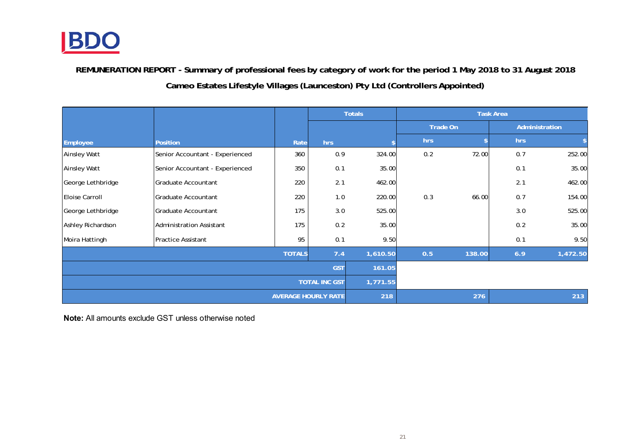

**REMUNERATION REPORT - Summary of professional fees by category of work for the period 1 May 2018 to 31 August 2018 Cameo Estates Lifestyle Villages (Launceston) Pty Ltd (Controllers Appointed)**

|                       |                                 |      |                            | <b>Totals</b> |                 |        | <b>Task Area</b> |          |
|-----------------------|---------------------------------|------|----------------------------|---------------|-----------------|--------|------------------|----------|
|                       |                                 |      |                            |               | Trade On        |        | Administration   |          |
| Employee              | <b>Position</b>                 | Rate | hrs                        |               | hrs             |        | hrs              | \$       |
| <b>Ainsley Watt</b>   | Senior Accountant - Experienced | 360  | 0.9                        | 324.00        | 0.2             | 72.00  | 0.7              | 252.00   |
| <b>Ainsley Watt</b>   | Senior Accountant - Experienced | 350  | 0.1                        | 35.00         |                 |        | 0.1              | 35.00    |
| George Lethbridge     | Graduate Accountant             | 220  | 2.1                        | 462.00        |                 |        | 2.1              | 462.00   |
| <b>Eloise Carroll</b> | Graduate Accountant             | 220  | 1.0                        | 220.00        | 0.3             | 66.00  | 0.7              | 154.00   |
| George Lethbridge     | Graduate Accountant             | 175  | 3.0                        | 525.00        |                 |        | 3.0              | 525.00   |
| Ashley Richardson     | <b>Administration Assistant</b> | 175  | 0.2                        | 35.00         |                 |        | 0.2              | 35.00    |
| Moira Hattingh        | <b>Practice Assistant</b>       | 95   | 0.1                        | 9.50          |                 |        | 0.1              | 9.50     |
|                       | <b>TOTALS</b>                   |      |                            |               | 1,610.50<br>0.5 | 138.00 | 6.9              | 1,472.50 |
|                       |                                 |      |                            | 161.05        |                 |        |                  |          |
|                       | <b>TOTAL INC GST</b>            |      |                            |               | 1,771.55        |        |                  |          |
|                       |                                 |      | <b>AVERAGE HOURLY RATE</b> | 218           |                 | 276    |                  | 213      |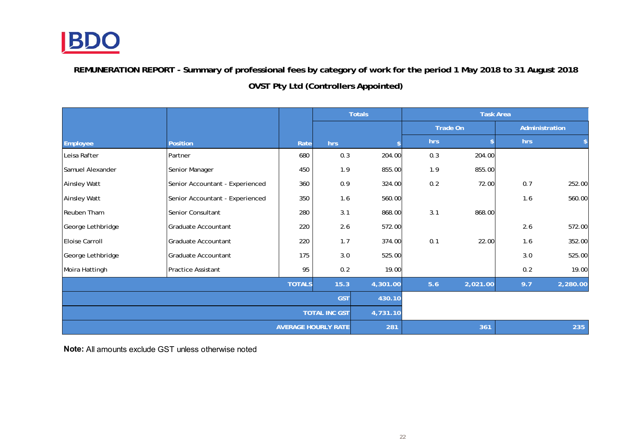

**REMUNERATION REPORT - Summary of professional fees by category of work for the period 1 May 2018 to 31 August 2018 OVST Pty Ltd (Controllers Appointed)**

|                      |                                 |               |                            | <b>Totals</b> |          |          | <b>Task Area</b> |                |
|----------------------|---------------------------------|---------------|----------------------------|---------------|----------|----------|------------------|----------------|
|                      |                                 |               |                            |               | Trade On |          |                  | Administration |
| Employee             | Position                        | Rate          | hrs                        |               | hrs      |          | hrs              |                |
| Leisa Rafter         | Partner                         | 680           | 0.3                        | 204.00        | 0.3      | 204.00   |                  |                |
| Samuel Alexander     | Senior Manager                  | 450           | 1.9                        | 855.00        | 1.9      | 855.00   |                  |                |
| <b>Ainsley Watt</b>  | Senior Accountant - Experienced | 360           | 0.9                        | 324.00        | 0.2      | 72.00    | 0.7              | 252.00         |
| <b>Ainsley Watt</b>  | Senior Accountant - Experienced | 350           | 1.6                        | 560.00        |          |          | 1.6              | 560.00         |
| Reuben Tham          | Senior Consultant               | 280           | 3.1                        | 868.00        | 3.1      | 868.00   |                  |                |
| George Lethbridge    | Graduate Accountant             | 220           | 2.6                        | 572.00        |          |          | 2.6              | 572.00         |
| Eloise Carroll       | Graduate Accountant             | 220           | 1.7                        | 374.00        | 0.1      | 22.00    | 1.6              | 352.00         |
| George Lethbridge    | Graduate Accountant             | 175           | 3.0                        | 525.00        |          |          | 3.0              | 525.00         |
| Moira Hattingh       | Practice Assistant              | 95            | 0.2                        | 19.00         |          |          | 0.2              | 19.00          |
|                      |                                 | <b>TOTALS</b> | 15.3                       | 4,301.00      | 5.6      | 2,021.00 | 9.7              | 2,280.00       |
|                      | <b>GST</b>                      |               |                            | 430.10        |          |          |                  |                |
| <b>TOTAL INC GST</b> |                                 |               |                            | 4,731.10      |          |          |                  |                |
|                      |                                 |               | <b>AVERAGE HOURLY RATE</b> | 281           |          | 361      |                  | 235            |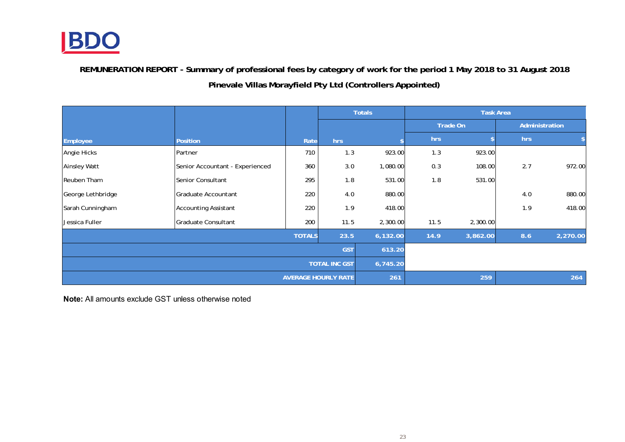

**REMUNERATION REPORT - Summary of professional fees by category of work for the period 1 May 2018 to 31 August 2018 Pinevale Villas Morayfield Pty Ltd (Controllers Appointed)**

|                     |                                 |               |                            | <b>Totals</b> |                 |          | <b>Task Area</b> |          |  |
|---------------------|---------------------------------|---------------|----------------------------|---------------|-----------------|----------|------------------|----------|--|
|                     |                                 |               |                            |               | <b>Trade On</b> |          | Administration   |          |  |
| Employee            | <b>Position</b>                 | Rate          | hrs                        |               | hrs             |          | hrs              |          |  |
| Angie Hicks         | Partner                         | 710           | 1.3                        | 923.00        | 1.3             | 923.00   |                  |          |  |
| <b>Ainsley Watt</b> | Senior Accountant - Experienced | 360           | 3.0                        | 1,080.00      | 0.3             | 108.00   | 2.7              | 972.00   |  |
| Reuben Tham         | Senior Consultant               | 295           | 1.8                        | 531.00        | 1.8             | 531.00   |                  |          |  |
| George Lethbridge   | Graduate Accountant             | 220           | 4.0                        | 880.00        |                 |          | 4.0              | 880.00   |  |
| Sarah Cunningham    | <b>Accounting Assistant</b>     | 220           | 1.9                        | 418.00        |                 |          | 1.9              | 418.00   |  |
| Jessica Fuller      | <b>Graduate Consultant</b>      | 200           | 11.5                       | 2,300.00      | 11.5            | 2,300.00 |                  |          |  |
|                     |                                 | <b>TOTALS</b> | 23.5                       | 6,132.00      | 14.9            | 3,862.00 | 8.6              | 2,270.00 |  |
| <b>GST</b>          |                                 |               |                            | 613.20        |                 |          |                  |          |  |
|                     | <b>TOTAL INC GST</b>            |               |                            |               | 6,745.20        |          |                  |          |  |
|                     |                                 |               | <b>AVERAGE HOURLY RATE</b> | 261           |                 | 259      |                  | 264      |  |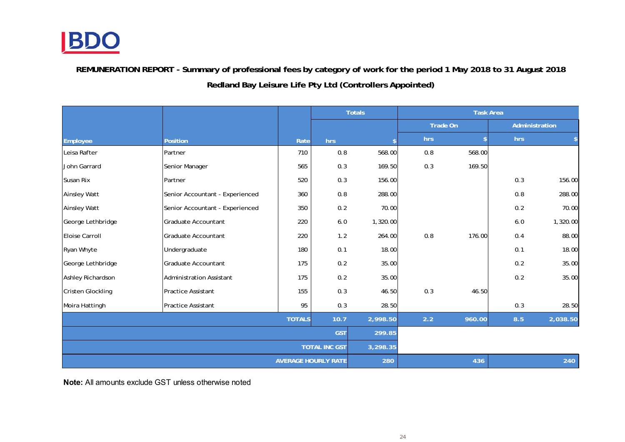

**REMUNERATION REPORT - Summary of professional fees by category of work for the period 1 May 2018 to 31 August 2018 Redland Bay Leisure Life Pty Ltd (Controllers Appointed)**

|                            |                                 |      |          | <b>Totals</b>      | <b>Task Area</b> |        |                |          |
|----------------------------|---------------------------------|------|----------|--------------------|------------------|--------|----------------|----------|
|                            |                                 |      |          |                    | Trade On         |        | Administration |          |
| Employee                   | <b>Position</b>                 | Rate | hrs      | $\mathbf{\hat{S}}$ | hrs              |        | hrs            | \$       |
| Leisa Rafter               | Partner                         | 710  | 0.8      | 568.00             | 0.8              | 568.00 |                |          |
| John Garrard               | Senior Manager                  | 565  | 0.3      | 169.50             | 0.3              | 169.50 |                |          |
| Susan Rix                  | Partner                         | 520  | 0.3      | 156.00             |                  |        | 0.3            | 156.00   |
| <b>Ainsley Watt</b>        | Senior Accountant - Experienced | 360  | 0.8      | 288.00             |                  |        | 0.8            | 288.00   |
| <b>Ainsley Watt</b>        | Senior Accountant - Experienced | 350  | 0.2      | 70.00              |                  |        | 0.2            | 70.00    |
| George Lethbridge          | Graduate Accountant             | 220  | $6.0\,$  | 1,320.00           |                  |        | 6.0            | 1,320.00 |
| <b>Eloise Carroll</b>      | Graduate Accountant             | 220  | 1.2      | 264.00             | 0.8              | 176.00 | 0.4            | 88.00    |
| Ryan Whyte                 | Undergraduate                   | 180  | 0.1      | 18.00              |                  |        | 0.1            | 18.00    |
| George Lethbridge          | Graduate Accountant             | 175  | 0.2      | 35.00              |                  |        | 0.2            | 35.00    |
| Ashley Richardson          | <b>Administration Assistant</b> | 175  | 0.2      | 35.00              |                  |        | 0.2            | 35.00    |
| <b>Cristen Glockling</b>   | Practice Assistant              | 155  | 0.3      | 46.50              | 0.3              | 46.50  |                |          |
| Moira Hattingh             | <b>Practice Assistant</b>       | 95   | 0.3      | 28.50              |                  |        | 0.3            | 28.50    |
| <b>TOTALS</b><br>10.7      |                                 |      | 2,998.50 | 2.2                | 960.00           | 8.5    | 2,038.50       |          |
| <b>GST</b>                 |                                 |      | 299.85   |                    |                  |        |                |          |
| <b>TOTAL INC GST</b>       |                                 |      | 3,298.35 |                    |                  |        |                |          |
| <b>AVERAGE HOURLY RATE</b> |                                 |      | 280      |                    | 436              |        | 240            |          |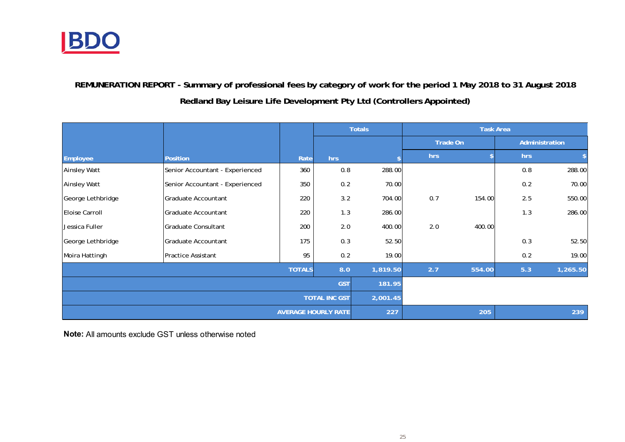

# **REMUNERATION REPORT - Summary of professional fees by category of work for the period 1 May 2018 to 31 August 2018 Redland Bay Leisure Life Development Pty Ltd (Controllers Appointed)**

|                            |                                 |      | <b>Totals</b> |          | <b>Task Area</b> |        |                |          |
|----------------------------|---------------------------------|------|---------------|----------|------------------|--------|----------------|----------|
|                            |                                 |      |               |          | <b>Trade On</b>  |        | Administration |          |
| Employee                   | <b>Position</b>                 | Rate | hrs           |          | hrs              |        | hrs            |          |
| <b>Ainsley Watt</b>        | Senior Accountant - Experienced | 360  | 0.8           | 288.00   |                  |        | 0.8            | 288.00   |
| <b>Ainsley Watt</b>        | Senior Accountant - Experienced | 350  | 0.2           | 70.00    |                  |        | 0.2            | 70.00    |
| George Lethbridge          | Graduate Accountant             | 220  | 3.2           | 704.00   | 0.7              | 154.00 | 2.5            | 550.00   |
| Eloise Carroll             | Graduate Accountant             | 220  | 1.3           | 286.00   |                  |        | 1.3            | 286.00   |
| Jessica Fuller             | <b>Graduate Consultant</b>      | 200  | 2.0           | 400.00   | 2.0              | 400.00 |                |          |
| George Lethbridge          | Graduate Accountant             | 175  | 0.3           | 52.50    |                  |        | 0.3            | 52.50    |
| Moira Hattingh             | <b>Practice Assistant</b>       | 95   | 0.2           | 19.00    |                  |        | 0.2            | 19.00    |
| <b>TOTALS</b>              |                                 |      | 8.0           | 1,819.50 | 2.7              | 554.00 | 5.3            | 1,265.50 |
| <b>GST</b>                 |                                 |      |               | 181.95   |                  |        |                |          |
| <b>TOTAL INC GST</b>       |                                 |      |               | 2,001.45 |                  |        |                |          |
| <b>AVERAGE HOURLY RATE</b> |                                 |      | 227           |          | 205              |        | 239            |          |